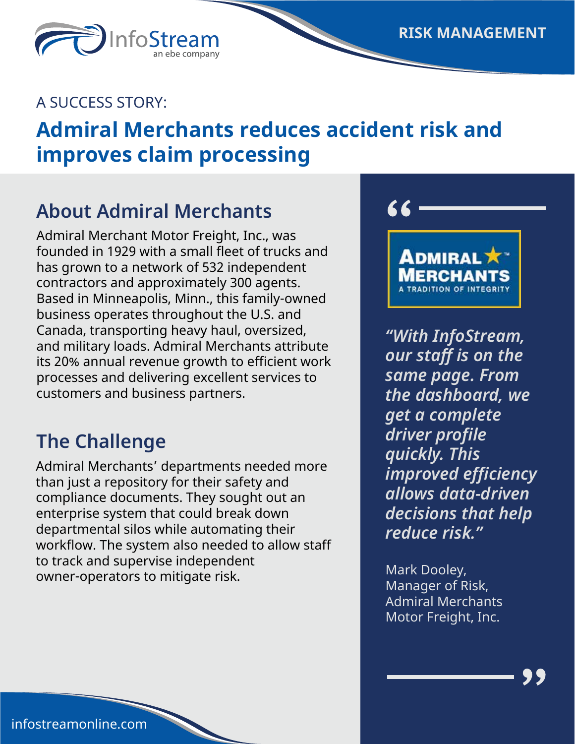A SUCCESS STORY:

InfoSt

# **Admiral Merchants reduces accident risk and improves claim processing**

#### **About Admiral Merchants**

Admiral Merchant Motor Freight, Inc., was founded in 1929 with a small fleet of trucks and has grown to a network of 532 independent contractors and approximately 300 agents. Based in Minneapolis, Minn., this family-owned business operates throughout the U.S. and Canada, transporting heavy haul, oversized, and military loads. Admiral Merchants attribute its 20% annual revenue growth to efficient work processes and delivering excellent services to customers and business partners.

### **The Challenge**

Admiral Merchants' departments needed more than just a repository for their safety and compliance documents. They sought out an enterprise system that could break down departmental silos while automating their workflow. The system also needed to allow staff to track and supervise independent owner-operators to mitigate risk.



66

*"With InfoStream, our staff is on the same page. From the dashboard, we get a complete driver profile quickly. This improved efficiency allows data-driven decisions that help reduce risk."*

Mark Dooley, Manager of Risk, Admiral Merchants Motor Freight, Inc.